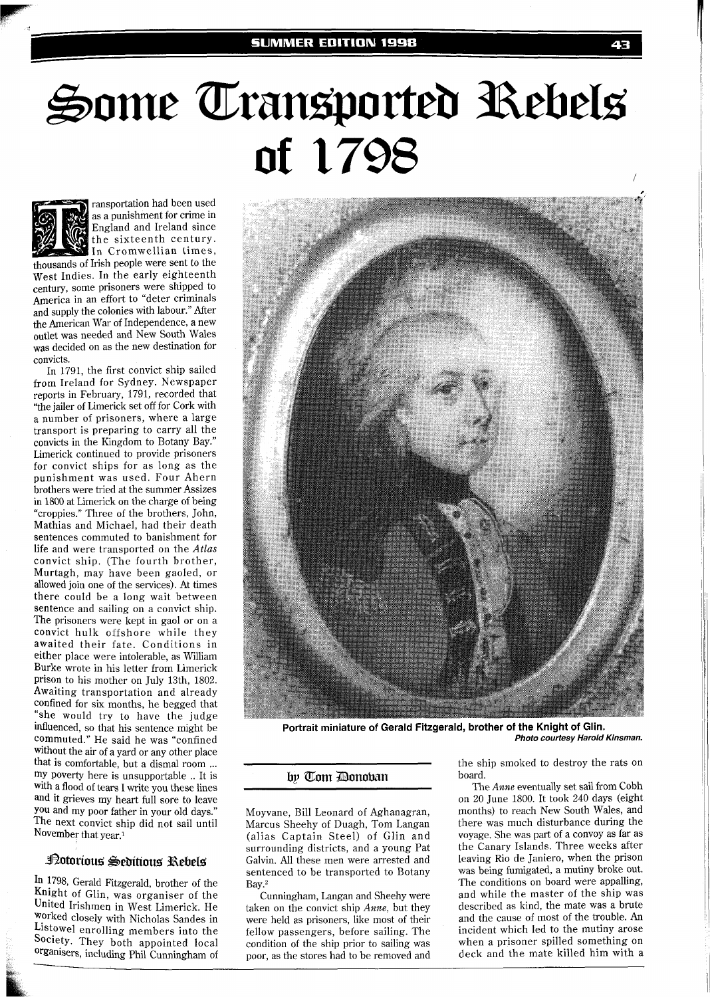# Some Transported Rebels of 1798



ransportation had been used as a punishment for crime in England and Ireland since the sixteenth century. In Cromwellian times,

thousands of Irish people were sent to the West Indies. In the early eighteenth century, some prisoners were shipped to America in an effort to "deter criminals and supply the colonies with labour." After the American War of Independence, a new outlet was needed and New South Wales was decided on as the new destination for convicts.

In 1791, the first convict ship sailed from Ireland for Sydney. Newspaper reports in February, 1791, recorded that "the jailer of Limerick set off for Cork with a number of prisoners, where a large transport is preparing to carry all the convicts in the Kingdom to Botany Bay." Limerick continued to provide prisoners for convict ships for as long as the punishment was used. Four Ahern brothers were tried at the summer Assizes in 1800 at Limerick on the charge of being "croppies." Three of the brothers, John, Mathias and Michael, had their death sentences commuted to banishment for life and were transported on the Atlas convict ship. (The fourth brother, Murtagh, may have been gaoled, or allowed join one of the services). At times there could be a long wait between sentence and sailing on a convict ship. The prisoners were kept in gaol or on a convict hulk offshore while they awaited their fate. Conditions in either place were intolerable, as William Burke wrote in his letter from Limerick prison to his mother on July 13th, 1802. Awaiting transportation and already confined for six months, he begged that "she would try to have the judge influenced, so that his sentence might be commuted." He said he was "confined without the air of a yard or any other place<br>that is comfortable, but a dismal room... my poverty here is unsupportable .. It is with a flood of tears I write you these lines and it grieves my heart full sore to leave You and my poor father in your old days." The next convict ship did not sail until November that year.<sup>1</sup>

## Potorious Seditious Rebels

In 1798, Gerald Fitzgerald, brother of the Knight of Glin, was organiser of the United Irishmen in West Limerick. He worked closely with Nicholas Sandes in Listowe1 enrolling members into the Society. They both appointed local Organisers, including Phi1 Cunningham of



**Portrait miniature of Gerald Fitzgerald, brother of the Knight of Glin. Photo courtesy Harold Kinsman.** 

### by Tom Donoban

Moyvane, Bill Leonard of Aghanagran, Marcus Sheehy of Duagh, Tom Langan (alias Captain Steel) of Glin and surrounding districts, and a young Pat Galvin. All these men were arrested and sentenced to be transported to Botany Bay.2

Cunningham, Langan and Sheehy were taken on the convict ship Anne, but they were held as prisoners, like most of their fellow passengers, before sailing. The condition of the ship prior to sailing was poor, as the stores had to be removed and the ship smoked to destroy the rats on board.

The *Ame* eventually set sail from Cobh on 20 June 1800. It took 240 days (eight months) to reach New South Wales, and there was much disturbance during the voyage. She was part of a convoy as far as the Canary Islands. Three weeks after leaving Rio de Janiero, when the prison was being fumigated, a mutiny broke out. The conditions on board were appalling, and while the master of the ship was described as kind, the mate was a brute and the cause of most of the trouble. An incident which led to the mutiny arose when a prisoner spilled something on deck and the mate killed him with a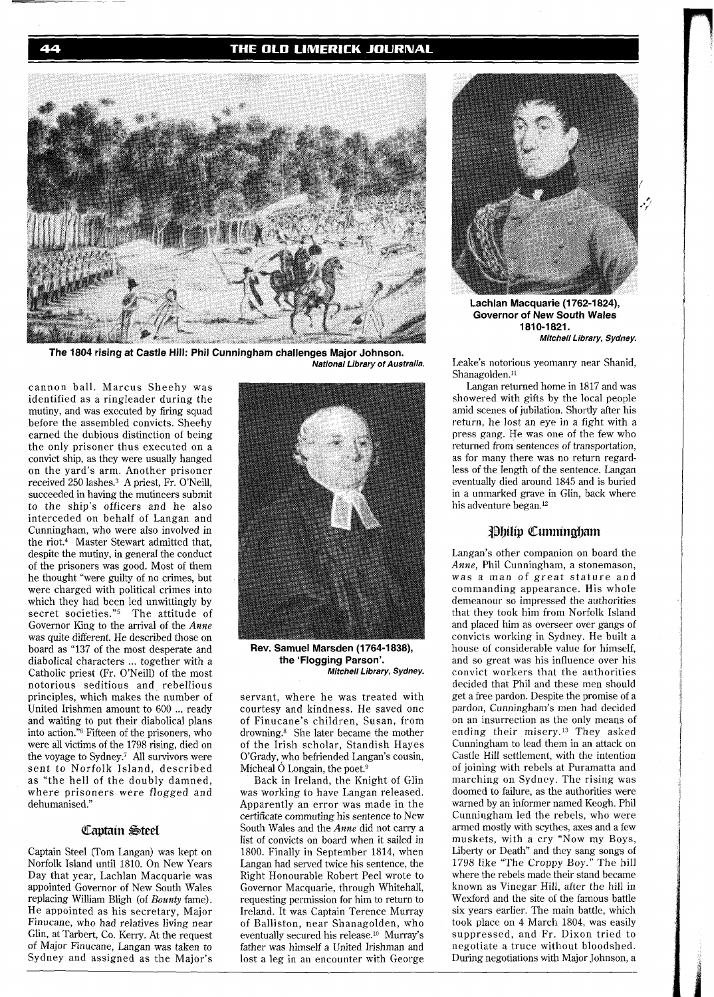#### THE OLD LIMERICK JOURNAL



The 1804 rising at Castle Hill: Phil Cunningham challenges Major Johnson. **National Library of Australia.** 

cannon ball. Marcus Sheehy was identified as a ringleader during the mutiny, and was executed by firing squad before the assembled convicts. Sheehy earned the dubious distinction of being the only prisoner thus executed on a convict ship, as they were usually hanged on the yard's arm. Another prisoner received 250 lashes.3 A priest, Fr. O'Neill, succeeded in having the mutineers submit to the ship's officers and he also interceded on behalf of Langan and Cunningham, who were also involved in the riot.4 Master Stewart admitted that, despite the mutiny, in general the conduct of the prisoners was good. Most of them he thought "were guilty of no crimes, but were charged with political crimes into which they had been led unwittingly by secret societies."5 The attitude of Governor King to the arrival of the *Anne*  was quite different. He described those on board as "137 of the most desperate and diabolical characters ... together with a Catholic priest (Fr. O'Neill) of the most notorious seditious and rebellious principles, which makes the number of United Irishmen amount to 600 ... ready and waiting to put their diabolical plans into action."<sup>6</sup> Fifteen of the prisoners, who were all victims of the 1798 rising, died on the voyage to Sydney.<sup>7</sup> All survivors were sent to Norfolk Island, described as "the hell of the doubly damned, where prisoners were flogged and dehumanised."

### Captain Steel

Captain Steel (Tom Langan) was kept on Norfolk Island until 1810. On New Years Day that year, Lachlan Macquarie was appointed Governor of New South Wales replacing Williarn Bligh (of *Bounty* fame). He appointed as his secretary, Major Finucane, who had relatives living near Glin, at Tarbert, Co. Kerry. At the request of Major Finucane, Langan was taken to Sydney and assigned as the Major's



**Rev. Samuel Marsden (1764-1 838), the 'Flogging Parson'. Mitchell Library, Sydney.** 

servant, where he was treated with courtesy and kindness. He saved one of Finucane's children, Susan, from drowning.<sup>8</sup> She later became the mother of the Irish scholar, Standish Hayes O'Grady, who befriended Langan's cousin, Micheal  $\dot{\text{O}}$  Longain, the poet.<sup>9</sup>

Back in Ireland, the Knight of Glin was working to have Langan released. Apparently an error was made in the certificate commuting his sentence to New South Wales and the *Anne* did not carry a list of convicts on board when it sailed in 1800. Finally in September 1814, when Langan had served twice his sentence, the Right Honourable Robert Peel wrote to Governor Macquarie, through Whitehall, requesting permission for him to return to Ireland. It was Captain Terence Murray of Balliston, near Shanagolden, who eventually secured his release.10 Murray's father was himself a United Irishman and lost a leg in an encounter with George



Lachlan Macquarie (1762-1824), **Governor of New South Wales 1810-1821. Mitchell Library, Sydney.** 

Leake's notorious yeomanry near Shanid, Shanagolden.<sup>11</sup>

Langan returned home in 1817 and was showered with gifts by the local people amid scenes of jubilation. Shortly after his return, he lost an eye in a fight with a press gang. He was one of the few who returned from sentences of transportation, as for many there was no return regardless of the length of the sentence. Langan eventually died around 1845 and is buried in a unmarked grave in Glin, back where his adventure began.<sup>12</sup>

#### **Philip Cumingham**

Langan's other companion on board the *Anne,* Phil Cunningham, a stonemason, was a man of great stature and commanding appearance. His whole demeanour so impressed the authorities that they took him from Norfolk Island and placed him as overseer over gangs of convicts working in Sydney. He built a house of considerable value for himself, and so great was his influence over his convict workers that the authorities decided that Phil and these men should get a free pardon. Despite the promise of a pardon, Cunningham's men had decided on an insurrection as the only means of ending their misery.13 They asked Cunningham to lead them in an attack on Castle Hill settlement, with the intention of joining with rebels at Puramatta and marching on Sydney. The rising was doomed to failure, as the authorities were warned by an informer named Keogh. Phil Cunningham led the rebels, who were armed mostly with scythes, axes and a few muskets, with a cry "Now my Boys, Liberty or Death" and they sang songs of 1798 like "The Croppy Boy." The hill where the rebels made their stand became known as Vinegar Hill, after the hill in Wexford and the site of the famous battle six years earlier. The main battle, which took place on 4 March 1804, was easily suppressed, and Fr. Dixon tried to negotiate a truce without bloodshed. During negotiations with Major Johnson, a